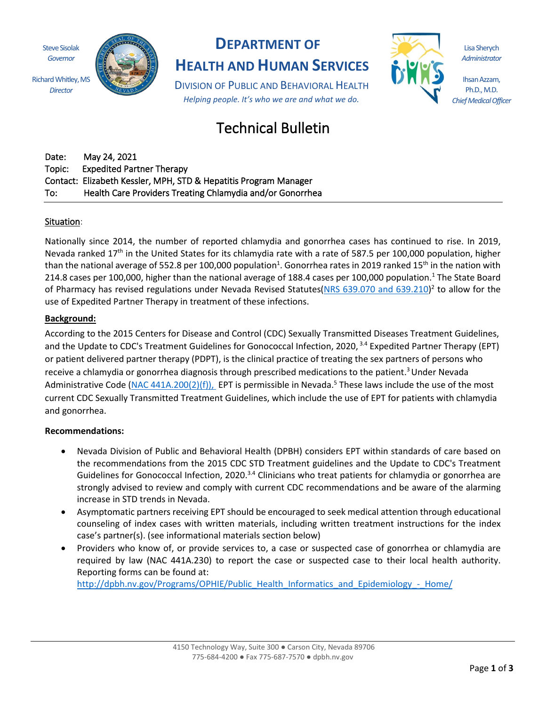Steve Sisolak *Governor*

*Director*



## **DEPARTMENT OF**

**HEALTH AND HUMAN SERVICES**

DIVISION OF PUBLIC AND BEHAVIORAL HEALTH *Helping people. It's who we are and what we do.*



Lisa Sherych *Administrator*

Ihsan Azzam, Ph.D., M.D. *Chief Medical Officer*

# Technical Bulletin

Date: May 24, 2021 Topic: Expedited Partner Therapy Contact: Elizabeth Kessler, MPH, STD & Hepatitis Program Manager To: Health Care Providers Treating Chlamydia and/or Gonorrhea

#### Situation:

Nationally since 2014, the number of reported chlamydia and gonorrhea cases has continued to rise. In 2019, Nevada ranked 17<sup>th</sup> in the United States for its chlamydia rate with a rate of 587.5 per 100,000 population, higher than the national average of 552.8 per 100,000 population<sup>1</sup>. Gonorrhea rates in 2019 ranked 15<sup>th</sup> in the nation with 214.8 cases per 100,000, higher than the national average of 188.4 cases per 100,000 population.<sup>1</sup> The State Board of Pharmacy has revised regulations under Nevada Revised Statutes[\(NRS 639.070 and 639.210\)](https://www.leg.state.nv.us/NRS/NRS-639.html)<sup>2</sup> to allow for the use of Expedited Partner Therapy in treatment of these infections.

#### **Background:**

According to the 2015 Centers for Disease and Control (CDC) Sexually Transmitted Diseases Treatment Guidelines, and the Update to CDC's Treatment Guidelines for Gonococcal Infection, 2020, 3.4 Expedited Partner Therapy (EPT) or patient delivered partner therapy (PDPT), is the clinical practice of treating the sex partners of persons who receive a chlamydia or gonorrhea diagnosis through prescribed medications to the patient.<sup>3</sup> Under Nevada Administrative Code (NAC 441A.200(2)(f)), EPT is permissible in Nevada.<sup>5</sup> These laws include the use of the most current CDC Sexually Transmitted Treatment Guidelines, which include the use of EPT for patients with chlamydia and gonorrhea.

#### **Recommendations:**

- Nevada Division of Public and Behavioral Health (DPBH) considers EPT within standards of care based on the recommendations from the 2015 CDC STD Treatment guidelines and the Update to CDC's Treatment Guidelines for Gonococcal Infection, 2020.<sup>3.4</sup> Clinicians who treat patients for chlamydia or gonorrhea are strongly advised to review and comply with current CDC recommendations and be aware of the alarming increase in STD trends in Nevada.
- Asymptomatic partners receiving EPT should be encouraged to seek medical attention through educational counseling of index cases with written materials, including written treatment instructions for the index case's partner(s). (see informational materials section below)
- Providers who know of, or provide services to, a case or suspected case of gonorrhea or chlamydia are required by law (NAC 441A.230) to report the case or suspected case to their local health authority. Reporting forms can be found at:

[http://dpbh.nv.gov/Programs/OPHIE/Public\\_Health\\_Informatics\\_and\\_Epidemiology\\_-\\_Home/](http://dpbh.nv.gov/Programs/OPHIE/Public_Health_Informatics_and_Epidemiology_-_Home/)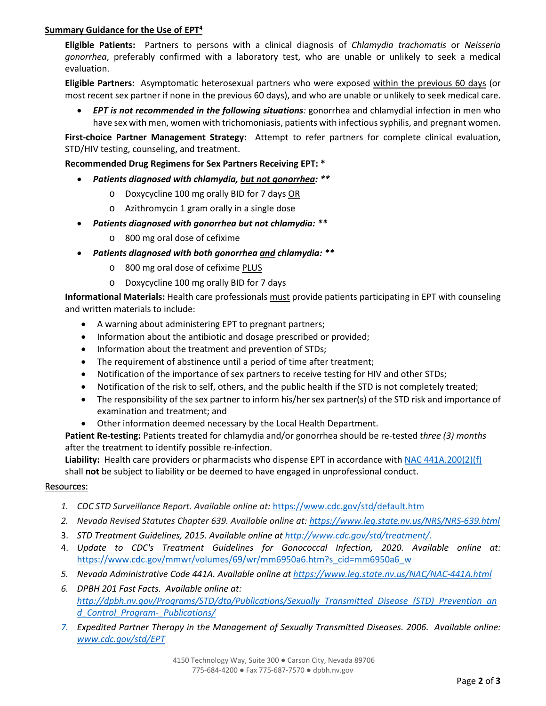#### **Summary Guidance for the Use of EPT<sup>4</sup>**

**Eligible Patients:** Partners to persons with a clinical diagnosis of *Chlamydia trachomatis* or *Neisseria gonorrhea*, preferably confirmed with a laboratory test, who are unable or unlikely to seek a medical evaluation.

**Eligible Partners:** Asymptomatic heterosexual partners who were exposed within the previous 60 days (or most recent sex partner if none in the previous 60 days), and who are unable or unlikely to seek medical care.

• *EPT is not recommended in the following situations:* gonorrhea and chlamydial infection in men who have sex with men, women with trichomoniasis, patients with infectious syphilis, and pregnant women.

**First-choice Partner Management Strategy:** Attempt to refer partners for complete clinical evaluation, STD/HIV testing, counseling, and treatment.

**Recommended Drug Regimens for Sex Partners Receiving EPT: \***

- *Patients diagnosed with chlamydia, but not gonorrhea: \*\** 
	- o Doxycycline 100 mg orally BID for 7 days OR
	- o Azithromycin 1 gram orally in a single dose
- *Patients diagnosed with gonorrhea but not chlamydia: \*\**
	- o 800 mg oral dose of cefixime
- *Patients diagnosed with both gonorrhea and chlamydia: \*\**
	- o 800 mg oral dose of cefixime PLUS
	- o Doxycycline 100 mg orally BID for 7 days

**Informational Materials:** Health care professionals must provide patients participating in EPT with counseling and written materials to include:

- A warning about administering EPT to pregnant partners;
- Information about the antibiotic and dosage prescribed or provided;
- Information about the treatment and prevention of STDs;
- The requirement of abstinence until a period of time after treatment;
- Notification of the importance of sex partners to receive testing for HIV and other STDs;
- Notification of the risk to self, others, and the public health if the STD is not completely treated;
- The responsibility of the sex partner to inform his/her sex partner(s) of the STD risk and importance of examination and treatment; and
- Other information deemed necessary by the Local Health Department.

**Patient Re-testing:** Patients treated for chlamydia and/or gonorrhea should be re-tested *three (3) months* after the treatment to identify possible re-infection.

**Liability:** Health care providers or pharmacists who dispense EPT in accordance with NAC 441A.200(2)(f) shall **not** be subject to liability or be deemed to have engaged in unprofessional conduct.

#### Resources:

- *1. CDC STD Surveillance Report. Available online at:* <https://www.cdc.gov/std/default.htm>
- *2. Nevada Revised Statutes Chapter 639. Available online at:<https://www.leg.state.nv.us/NRS/NRS-639.html>*
- 3. *STD Treatment Guidelines, 2015. Available online a[t http://www.cdc.gov/std/treatment/.](http://www.cdc.gov/std/treatment/)*
- 4. *Update to CDC's Treatment Guidelines for Gonococcal Infection, 2020. Available online at:* [https://www.cdc.gov/mmwr/volumes/69/wr/mm6950a6.htm?s\\_cid=mm6950a6\\_w](https://www.cdc.gov/mmwr/volumes/69/wr/mm6950a6.htm?s_cid=mm6950a6_w)
- *5. Nevada Administrative Code 441A. Available online at<https://www.leg.state.nv.us/NAC/NAC-441A.html>*
- *6. DPBH 201 Fast Facts. Available online at: [http://dpbh.nv.gov/Programs/STD/dta/Publications/Sexually\\_Transmitted\\_Disease\\_\(STD\)\\_Prevention\\_an](http://dpbh.nv.gov/Programs/STD/dta/Publications/Sexually_Transmitted_Disease_(STD)_Prevention_and_Control_Program-_Publications/) [d\\_Control\\_Program-\\_Publications/](http://dpbh.nv.gov/Programs/STD/dta/Publications/Sexually_Transmitted_Disease_(STD)_Prevention_and_Control_Program-_Publications/)*
- *7. Expedited Partner Therapy in the Management of Sexually Transmitted Diseases. 2006. Available online: [www.cdc.gov/std/EPT](http://www.cdc.gov/std/EPT)*